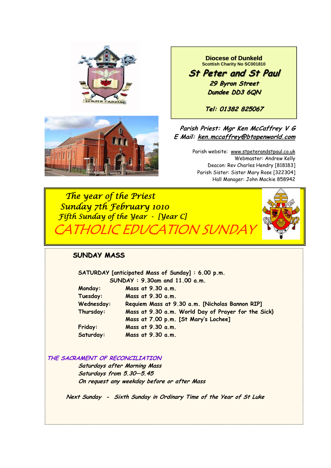



**Diocese of Dunkeld Scottish Charity No SC001810** 

**St Peter and St Paul St Peter and St Paul 29 Byron Street 29 Byron Street Dundee DD3 6QN**

**Tel: 01382 825067**

# **Parish Priest: Mgr Ken McCaffrey V G E Mail: ken.mccaffrey@btopenworld.com**

Parish website: www.stpeterandstpaul.co.uk Webmaster: Andrew Kelly Deacon: Rev Charles Hendry [818183] Parish Sister: Sister Mary Rose [322304] Hall Manager: John Mackie 858942

 *The year of the Priest Sunday 7th February 1010 Fifth Sunday of the Year - [Year C]*  ATHOLIC EDUCATION SI



# **SUNDAY MASS**

 **SATURDAY [anticipated Mass of Sunday] : 6.00 p.m. SUNDAY : 9.30am and 11.00 a.m. Monday: Mass at 9.30 a.m. Tuesday: Mass at 9.30 a.m. Wednesday: Requiem Mass at 9.30 a.m. [Nicholas Bannon RIP] Thursday: Mass at 9.30 a.m. World Day of Prayer for the Sick} Mass at 7.00 p.m. [St Mary's Lochee] Friday: Mass at 9.30 a.m. Saturday: Mass at 9.30 a.m.** 

#### **THE SACRAMENT OF RECONCILIATION**

 **Saturdays after Morning Mass Saturdays from 5.30—5.45 On request any weekday before or after Mass** 

 **Next Sunday - Sixth Sunday in Ordinary Time of the Year of St Luke**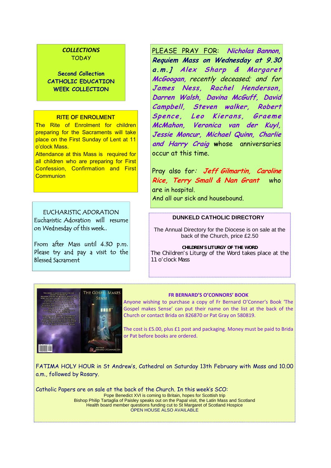## *COLLECTIONS* TODAY

**Second Collection CATHOLIC EDUCATION WEEK COLLECTION** 

#### RITE OF ENROLMENT

The Rite of Enrolment for children preparing for the Sacraments will take place on the First Sunday of Lent at 11 o'clock Mass.

Attendance at this Mass is required for all children who are preparing for First Confession, Confirmation and First **Communion** 

EUCHARISTIC ADORATION Eucharistic Adoration will resume on Wednesday of this week..

From after Mass until 4.30 p.m. Please try and pay a visit to the Blessed Sacrament

PLEASE PRAY FOR: **Nicholas Bannon, Requiem Mass on Wednesday at 9.30 a.m.] Alex Sharp & Margaret McGoogan,** recently deceased; and for **James Ness, Rachel Henderson, Darren Walsh, Davina McGuff, David Campbell, Steven walker, Robert**  Spence, Leo Kierans, Graeme **McMahon, Veronica van der Kuyl, Jessie Moncur, Michael Quinn, Charlie and Harry Craig w**hose anniversaries occur at this time.

Pray also for: **Jeff Gilmartin, Caroline Rice, Terry Small & Nan Grant** who are in hospital. And all our sick and housebound.

#### **DUNKELD CATHOLIC DIRECTORY**

The Annual Directory for the Diocese is on sale at the back of the Church, price £2.50

*CHILDREN'S LITURGY OF THE WORD*  The Children's Liturgy of the Word takes place at the 11 o'clock Mass



#### **FR BERNARD'S O'CONNORS' BOOK**

Anyone wishing to purchase a copy of Fr Bernard O'Conner's Book 'The Gospel makes Sense' can put their name on the list at the back of the Church or contact Brida on 826870 or Pat Gray on 580819.

The cost is £5.00, plus £1 post and packaging. Money must be paid to Brida or Pat before books are ordered.

FATIMA HOLY HOUR in St Andrew's, Cathedral on Saturday 13th February with Mass and 10.00 a.m., followed by Rosary.

Catholic Papers are on sale at the back of the Church. In this week's SCO: Pope Benedict XVI is coming to Britain, hopes for Scottish trip Bishop Philip Tartaglia of Paisley speaks out on the Papal visit, the Latin Mass and Scotland Health board member questions funding cut to St Margaret of Scotland Hospice OPEN HOUSE ALSO AVAILABLE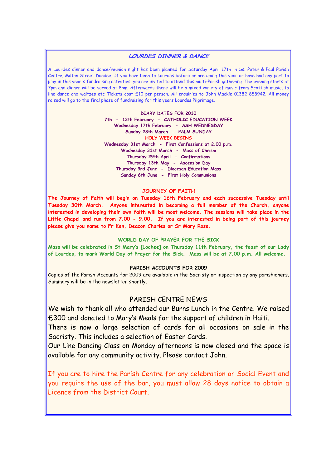#### **LOURDES DINNER & DANCE**

A Lourdes dinner and dance/reunion night has been planned for Saturday April 17th in Ss. Peter & Paul Parish Centre, Milton Street Dundee. If you have been to Lourdes before or are going this year or have had any part to play in this year's fundraising activities, you are invited to attend this multi-Parish gathering. The evening starts at 7pm and dinner will be served at 8pm. Afterwards there will be a mixed variety of music from Scottish music, to line dance and waltzes etc Tickets cost £10 per person. All enquiries to John Mackie 01382 858942. All money raised will go to the final phase of fundraising for this years Lourdes Pilgrimage.

> **DIARY DATES FOR 2010 7th - 13th February - CATHOLIC EDUCATION WEEK Wednesday 17th February - ASH WEDNESDAY Sunday 28th March - PALM SUNDAY HOLY WEEK BEGINS Wednesday 31st March - First Confessions at 2.00 p.m. Wednesday 31st March - Mass of Chrism Thursday 29th April - Confirmations Thursday 13th May - Ascension Day Thursday 3rd June - Diocesan Education Mass Sunday 6th June - First Holy Communions**

#### **JOURNEY OF FAITH**

**The Journey of Faith will begin on Tuesday 16th February and each successive Tuesday until Tuesday 30th March. Anyone interested in becoming a full member of the Church, anyone interested in developing their own faith will be most welcome. The sessions will take place in the Little Chapel and run from 7.00 - 9.00. If you are interested in being part of this journey please give you name to Fr Ken, Deacon Charles or Sr Mary Rose.** 

#### **WORLD DAY OF PRAYER FOR THE SICK**

**Mass will be celebrated in St Mary's [Lochee] on Thursday 11th February, the feast of our Lady of Lourdes, to mark World Day of Prayer for the Sick. Mass will be at 7.00 p.m. All welcome.** 

#### **PARISH ACCOUNTS FOR 2009**

Copies of the Parish Accounts for 2009 are available in the Sacristy or inspection by any parishioners. Summary will be in the newsletter shortly.

## PARISH CENTRE NEWS

We wish to thank all who attended our Burns Lunch in the Centre. We raised £300 and donated to Mary's Meals for the support of children in Haiti.

There is now a large selection of cards for all occasions on sale in the Sacristy. This includes a selection of Easter Cards.

Our Line Dancing Class on Monday afternoons is now closed and the space is available for any community activity. Please contact John.

If you are to hire the Parish Centre for any celebration or Social Event and you require the use of the bar, you must allow 28 days notice to obtain a Licence from the District Court.